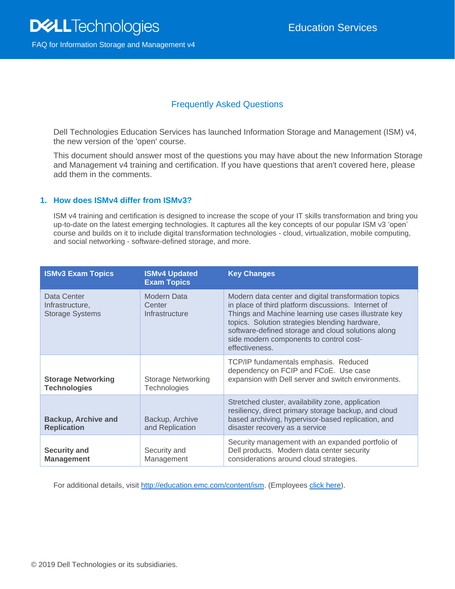# Frequently Asked Questions

Dell Technologies Education Services has launched Information Storage and Management (ISM) v4, the new version of the 'open' course.

This document should answer most of the questions you may have about the new Information Storage and Management v4 training and certification. If you have questions that aren't covered here, please add them in the comments.

# **1. How does ISMv4 differ from ISMv3?**

ISM v4 training and certification is designed to increase the scope of your IT skills transformation and bring you up-to-date on the latest emerging technologies. It captures all the key concepts of our popular ISM v3 'open' course and builds on it to include digital transformation technologies - cloud, virtualization, mobile computing, and social networking - software-defined storage, and more.

| <b>ISMv3 Exam Topics</b>                                 | <b>ISMv4 Updated</b><br><b>Exam Topics</b> | <b>Key Changes</b>                                                                                                                                                                                                                                                                                                                       |  |
|----------------------------------------------------------|--------------------------------------------|------------------------------------------------------------------------------------------------------------------------------------------------------------------------------------------------------------------------------------------------------------------------------------------------------------------------------------------|--|
| Data Center<br>Infrastructure,<br><b>Storage Systems</b> | Modern Data<br>Center<br>Infrastructure    | Modern data center and digital transformation topics<br>in place of third platform discussions. Internet of<br>Things and Machine learning use cases illustrate key<br>topics. Solution strategies blending hardware,<br>software-defined storage and cloud solutions along<br>side modern components to control cost-<br>effectiveness. |  |
| <b>Storage Networking</b><br><b>Technologies</b>         | <b>Storage Networking</b><br>Technologies  | TCP/IP fundamentals emphasis. Reduced<br>dependency on FCIP and FCoE. Use case<br>expansion with Dell server and switch environments.                                                                                                                                                                                                    |  |
| <b>Backup, Archive and</b><br><b>Replication</b>         | Backup, Archive<br>and Replication         | Stretched cluster, availability zone, application<br>resiliency, direct primary storage backup, and cloud<br>based archiving, hypervisor-based replication, and<br>disaster recovery as a service                                                                                                                                        |  |
| <b>Security and</b><br><b>Management</b>                 | Security and<br>Management                 | Security management with an expanded portfolio of<br>Dell products. Modern data center security<br>considerations around cloud strategies.                                                                                                                                                                                               |  |

For additional details, visit [http://education.emc.com/content/ism.](http://education.emc.com/content/ism) (Employees [click here\)](https://education.emc.com/content/emc/en-us/internal/home/Certification/find-exam.html?k=Storage&t=Associate).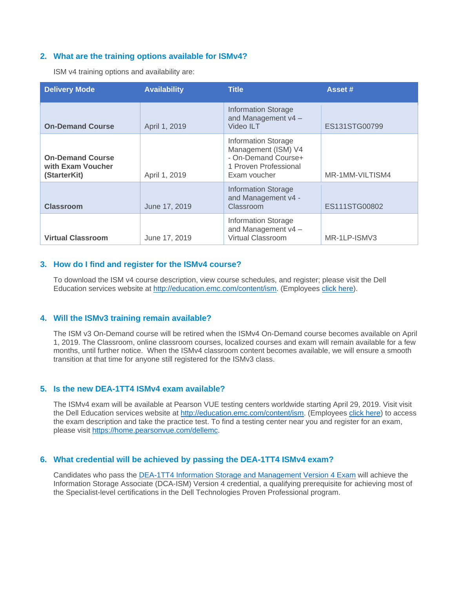#### **2. What are the training options available for ISMv4?**

ISM v4 training options and availability are:

| <b>Delivery Mode</b>                                         | <b>Availability</b> | <b>Title</b>                                                                                                      | Asset #         |
|--------------------------------------------------------------|---------------------|-------------------------------------------------------------------------------------------------------------------|-----------------|
| <b>On-Demand Course</b>                                      | April 1, 2019       | <b>Information Storage</b><br>and Management v4 -<br>Video ILT                                                    | ES131STG00799   |
| <b>On-Demand Course</b><br>with Exam Voucher<br>(StarterKit) | April 1, 2019       | <b>Information Storage</b><br>Management (ISM) V4<br>- On-Demand Course+<br>1 Proven Professional<br>Exam voucher | MR-1MM-VILTISM4 |
| <b>Classroom</b>                                             | June 17, 2019       | <b>Information Storage</b><br>and Management v4 -<br>Classroom                                                    | ES111STG00802   |
| <b>Virtual Classroom</b>                                     | June 17, 2019       | <b>Information Storage</b><br>and Management v4-<br><b>Virtual Classroom</b>                                      | MR-1LP-ISMV3    |

# **3. How do I find and register for the ISMv4 course?**

To download the ISM v4 course description, view course schedules, and register; please visit the Dell Education services website at [http://education.emc.com/content/ism.](http://education.emc.com/content/ism) (Employees [click here\)](https://education.emc.com/content/emc/en-us/internal/home/Certification/find-exam.html?k=Storage&t=Associate).

#### **4. Will the ISMv3 training remain available?**

The ISM v3 On-Demand course will be retired when the ISMv4 On-Demand course becomes available on April 1, 2019. The Classroom, online classroom courses, localized courses and exam will remain available for a few months, until further notice. When the ISMv4 classroom content becomes available, we will ensure a smooth transition at that time for anyone still registered for the ISMv3 class.

### **5. Is the new DEA-1TT4 ISMv4 exam available?**

The ISMv4 exam will be available at Pearson VUE testing centers worldwide starting April 29, 2019. Visit visit the Dell Education services website at [http://education.emc.com/content/ism.](http://education.emc.com/content/ism) (Employees [click here\)](https://education.emc.com/content/emc/en-us/internal/home/Certification/find-exam.html?k=Storage&t=Associate) to access the exam description and take the practice test. To find a testing center near you and register for an exam, please visit [https://home.pearsonvue.com/dellemc.](https://home.pearsonvue.com/dellemc)

#### **6. What credential will be achieved by passing the DEA-1TT4 ISMv4 exam?**

Candidates who pass the [DEA-1TT4 Information Storage and Management Version 4 Exam](http://education.emc.com/content/dam/dell-emc/documents/en-us/DES-1TT4_Associate-Information_Storage_and_Management_Version4_Exam.pdf) will achieve the Information Storage Associate (DCA-ISM) Version 4 credential, a qualifying prerequisite for achieving most of the Specialist-level certifications in the Dell Technologies Proven Professional program.